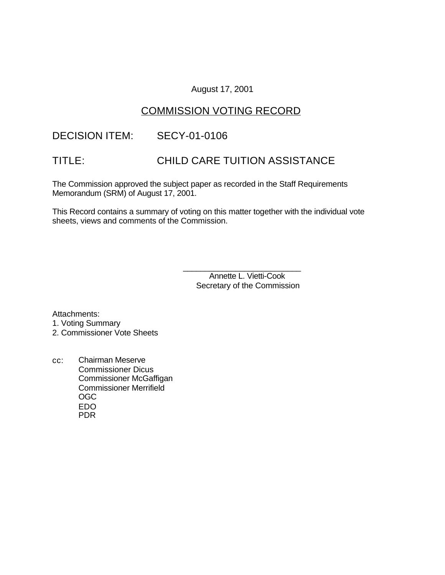### August 17, 2001

# COMMISSION VOTING RECORD

# DECISION ITEM: SECY-01-0106

# TITLE: CHILD CARE TUITION ASSISTANCE

The Commission approved the subject paper as recorded in the Staff Requirements Memorandum (SRM) of August 17, 2001.

This Record contains a summary of voting on this matter together with the individual vote sheets, views and comments of the Commission.

> \_\_\_\_\_\_\_\_\_\_\_\_\_\_\_\_\_\_\_\_\_\_\_\_\_\_\_ Annette L. Vietti-Cook Secretary of the Commission

Attachments:

- 1. Voting Summary
- 2. Commissioner Vote Sheets
- cc: Chairman Meserve Commissioner Dicus Commissioner McGaffigan Commissioner Merrifield OGC EDO PDR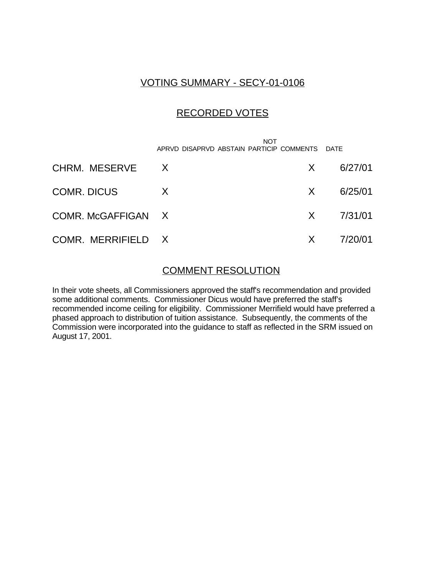# VOTING SUMMARY - SECY-01-0106

## RECORDED VOTES

 NOT APRVD DISAPRVD ABSTAIN PARTICIP COMMENTS DATE

| CHRM. MESERVE X    |              | $X = 6/27/01$         |
|--------------------|--------------|-----------------------|
| COMR. DICUS        | $\mathsf{X}$ | $X = 6/25/01$         |
| COMR. McGAFFIGAN X |              | $X = \frac{7}{31/01}$ |
| COMR. MERRIFIELD X |              | $X = \frac{7}{20}01$  |

### COMMENT RESOLUTION

In their vote sheets, all Commissioners approved the staff's recommendation and provided some additional comments. Commissioner Dicus would have preferred the staff's recommended income ceiling for eligibility. Commissioner Merrifield would have preferred a phased approach to distribution of tuition assistance. Subsequently, the comments of the Commission were incorporated into the guidance to staff as reflected in the SRM issued on August 17, 2001.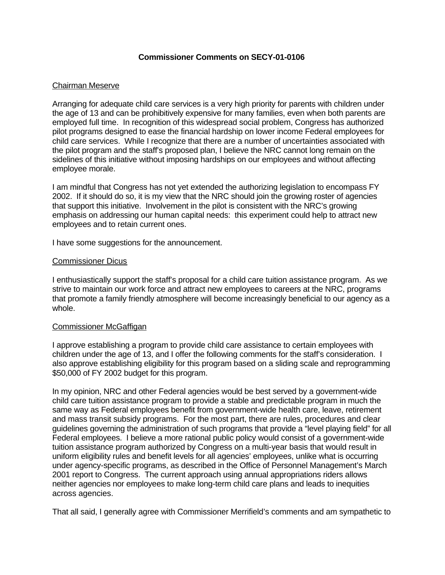### **Commissioner Comments on SECY-01-0106**

### Chairman Meserve

Arranging for adequate child care services is a very high priority for parents with children under the age of 13 and can be prohibitively expensive for many families, even when both parents are employed full time. In recognition of this widespread social problem, Congress has authorized pilot programs designed to ease the financial hardship on lower income Federal employees for child care services. While I recognize that there are a number of uncertainties associated with the pilot program and the staff's proposed plan, I believe the NRC cannot long remain on the sidelines of this initiative without imposing hardships on our employees and without affecting employee morale.

I am mindful that Congress has not yet extended the authorizing legislation to encompass FY 2002. If it should do so, it is my view that the NRC should join the growing roster of agencies that support this initiative. Involvement in the pilot is consistent with the NRC's growing emphasis on addressing our human capital needs: this experiment could help to attract new employees and to retain current ones.

I have some suggestions for the announcement.

### Commissioner Dicus

I enthusiastically support the staff's proposal for a child care tuition assistance program. As we strive to maintain our work force and attract new employees to careers at the NRC, programs that promote a family friendly atmosphere will become increasingly beneficial to our agency as a whole.

#### Commissioner McGaffigan

I approve establishing a program to provide child care assistance to certain employees with children under the age of 13, and I offer the following comments for the staff's consideration. I also approve establishing eligibility for this program based on a sliding scale and reprogramming \$50,000 of FY 2002 budget for this program.

In my opinion, NRC and other Federal agencies would be best served by a government-wide child care tuition assistance program to provide a stable and predictable program in much the same way as Federal employees benefit from government-wide health care, leave, retirement and mass transit subsidy programs. For the most part, there are rules, procedures and clear guidelines governing the administration of such programs that provide a "level playing field" for all Federal employees. I believe a more rational public policy would consist of a government-wide tuition assistance program authorized by Congress on a multi-year basis that would result in uniform eligibility rules and benefit levels for all agencies' employees, unlike what is occurring under agency-specific programs, as described in the Office of Personnel Management's March 2001 report to Congress. The current approach using annual appropriations riders allows neither agencies nor employees to make long-term child care plans and leads to inequities across agencies.

That all said, I generally agree with Commissioner Merrifield's comments and am sympathetic to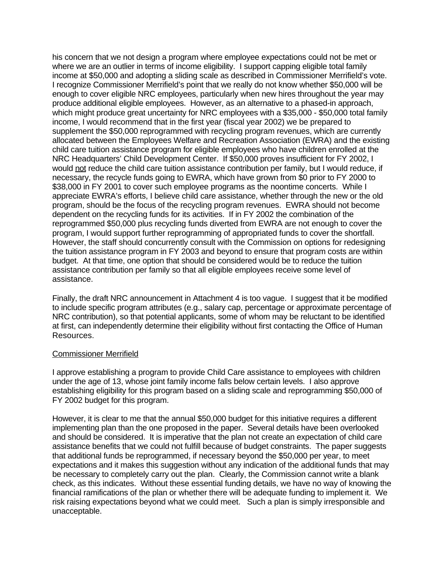his concern that we not design a program where employee expectations could not be met or where we are an outlier in terms of income eligibility. I support capping eligible total family income at \$50,000 and adopting a sliding scale as described in Commissioner Merrifield's vote. I recognize Commissioner Merrifield's point that we really do not know whether \$50,000 will be enough to cover eligible NRC employees, particularly when new hires throughout the year may produce additional eligible employees. However, as an alternative to a phased-in approach, which might produce great uncertainty for NRC employees with a \$35,000 - \$50,000 total family income, I would recommend that in the first year (fiscal year 2002) we be prepared to supplement the \$50,000 reprogrammed with recycling program revenues, which are currently allocated between the Employees Welfare and Recreation Association (EWRA) and the existing child care tuition assistance program for eligible employees who have children enrolled at the NRC Headquarters' Child Development Center. If \$50,000 proves insufficient for FY 2002, I would not reduce the child care tuition assistance contribution per family, but I would reduce, if necessary, the recycle funds going to EWRA, which have grown from \$0 prior to FY 2000 to \$38,000 in FY 2001 to cover such employee programs as the noontime concerts. While I appreciate EWRA's efforts, I believe child care assistance, whether through the new or the old program, should be the focus of the recycling program revenues. EWRA should not become dependent on the recycling funds for its activities. If in FY 2002 the combination of the reprogrammed \$50,000 plus recycling funds diverted from EWRA are not enough to cover the program, I would support further reprogramming of appropriated funds to cover the shortfall. However, the staff should concurrently consult with the Commission on options for redesigning the tuition assistance program in FY 2003 and beyond to ensure that program costs are within budget. At that time, one option that should be considered would be to reduce the tuition assistance contribution per family so that all eligible employees receive some level of assistance.

Finally, the draft NRC announcement in Attachment 4 is too vague. I suggest that it be modified to include specific program attributes (e.g., salary cap, percentage or approximate percentage of NRC contribution), so that potential applicants, some of whom may be reluctant to be identified at first, can independently determine their eligibility without first contacting the Office of Human Resources.

#### Commissioner Merrifield

I approve establishing a program to provide Child Care assistance to employees with children under the age of 13, whose joint family income falls below certain levels. I also approve establishing eligibility for this program based on a sliding scale and reprogramming \$50,000 of FY 2002 budget for this program.

However, it is clear to me that the annual \$50,000 budget for this initiative requires a different implementing plan than the one proposed in the paper. Several details have been overlooked and should be considered. It is imperative that the plan not create an expectation of child care assistance benefits that we could not fulfill because of budget constraints. The paper suggests that additional funds be reprogrammed, if necessary beyond the \$50,000 per year, to meet expectations and it makes this suggestion without any indication of the additional funds that may be necessary to completely carry out the plan. Clearly, the Commission cannot write a blank check, as this indicates. Without these essential funding details, we have no way of knowing the financial ramifications of the plan or whether there will be adequate funding to implement it. We risk raising expectations beyond what we could meet. Such a plan is simply irresponsible and unacceptable.